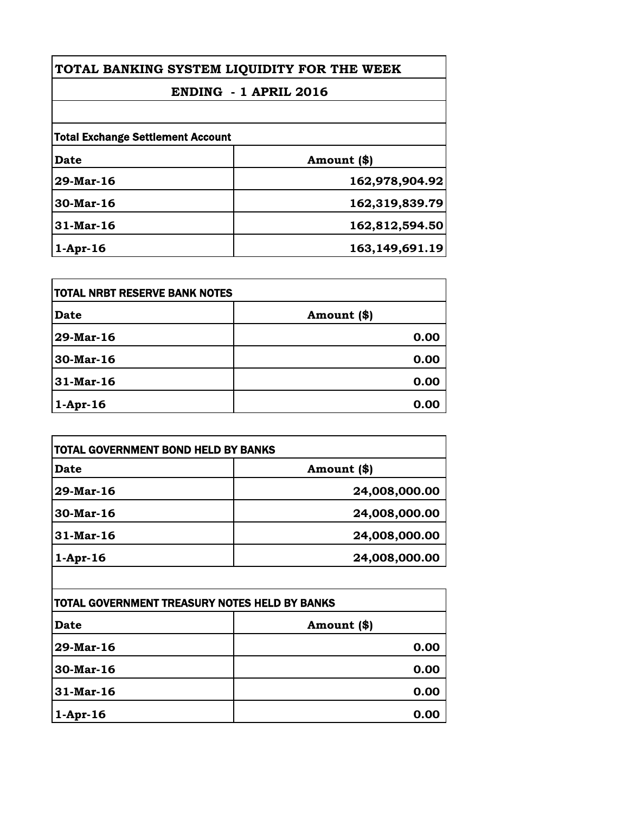| TOTAL BANKING SYSTEM LIQUIDITY FOR THE WEEK |                |
|---------------------------------------------|----------------|
| ENDING - 1 APRIL 2016                       |                |
|                                             |                |
| <b>Total Exchange Settlement Account</b>    |                |
| <b>Date</b>                                 | Amount (\$)    |
| 29-Mar-16                                   | 162,978,904.92 |
| 30-Mar-16                                   | 162,319,839.79 |
| $31-Mar-16$                                 | 162,812,594.50 |
| $1-Apr-16$                                  | 163,149,691.19 |

| <b>TOTAL NRBT RESERVE BANK NOTES</b> |             |
|--------------------------------------|-------------|
| <b>Date</b>                          | Amount (\$) |
| 29-Mar-16                            | 0.00        |
| 30-Mar-16                            | 0.00        |
| 31-Mar-16                            | 0.00        |
| $1-Apr-16$                           | 0.00        |

| TOTAL GOVERNMENT BOND HELD BY BANKS |               |
|-------------------------------------|---------------|
| Date                                | Amount (\$)   |
| $29$ -Mar-16                        | 24,008,000.00 |
| 30-Mar-16                           | 24,008,000.00 |
| $31$ -Mar-16                        | 24,008,000.00 |
| $1-Apr-16$                          | 24,008,000.00 |

| TOTAL GOVERNMENT TREASURY NOTES HELD BY BANKS |             |
|-----------------------------------------------|-------------|
| <b>Date</b>                                   | Amount (\$) |
| 29-Mar-16                                     | 0.00        |
| 30-Mar-16                                     | 0.00        |
| 31-Mar-16                                     | 0.00        |
| $1-Apr-16$                                    | 0.00        |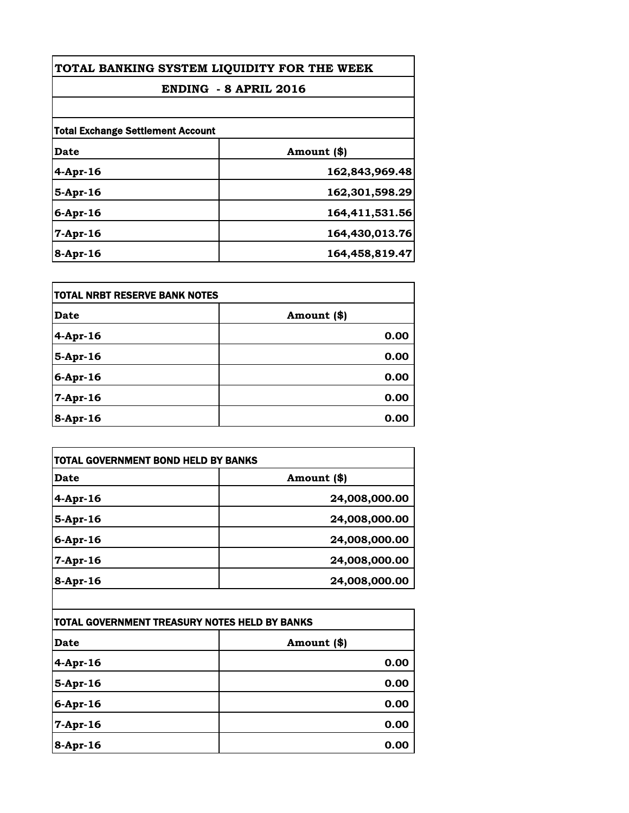| TOTAL BANKING SYSTEM LIQUIDITY FOR THE WEEK<br>ENDING - 8 APRIL 2016 |                |
|----------------------------------------------------------------------|----------------|
|                                                                      |                |
| <b>Total Exchange Settlement Account</b>                             |                |
| Date                                                                 | Amount (\$)    |
| $4-Apr-16$                                                           | 162,843,969.48 |
| $5$ -Apr-16                                                          | 162,301,598.29 |
| $6$ -Apr-16                                                          | 164,411,531.56 |
| $7$ -Apr-16                                                          | 164,430,013.76 |
| $8 -$ Apr $-16$                                                      | 164,458,819.47 |

| itotal NRBT RESERVE BANK NOTES |             |
|--------------------------------|-------------|
| <b>Date</b>                    | Amount (\$) |
| $4$ -Apr-16                    | 0.00        |
| 5-Apr-16                       | 0.00        |
| 6-Apr-16                       | 0.00        |
| 7-Apr-16                       | 0.00        |
| 8-Apr-16                       | 0.00        |

| TOTAL GOVERNMENT BOND HELD BY BANKS           |               |
|-----------------------------------------------|---------------|
| Date                                          | Amount (\$)   |
| 4-Apr-16                                      | 24,008,000.00 |
| 5-Apr-16                                      | 24,008,000.00 |
| 6-Apr-16                                      | 24,008,000.00 |
| 7-Apr-16                                      | 24,008,000.00 |
| 8-Apr-16                                      | 24,008,000.00 |
| TOTAL GOVERNMENT TREASURY NOTES HELD BY BANKS |               |
| Date                                          | Amount (\$)   |
| 4-Apr-16                                      | 0.00          |
| 5-Apr-16                                      | 0.00          |
| 6-Apr-16                                      | 0.00          |
| 7-Apr-16                                      | 0.00          |
| 8-Apr-16                                      | 0.00          |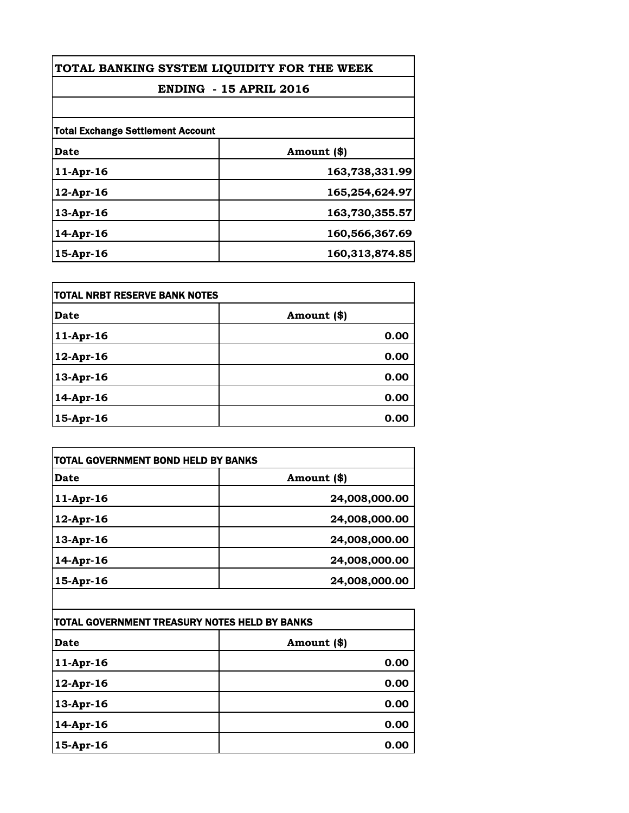| TOTAL BANKING SYSTEM LIQUIDITY FOR THE WEEK<br><b>ENDING - 15 APRIL 2016</b> |                |
|------------------------------------------------------------------------------|----------------|
|                                                                              |                |
| <b>Total Exchange Settlement Account</b>                                     |                |
| Date                                                                         | Amount (\$)    |
| 11-Apr-16                                                                    | 163,738,331.99 |
| $12$ -Apr-16                                                                 | 165,254,624.97 |
| $13$ -Apr-16                                                                 | 163,730,355.57 |
| 14-Apr-16                                                                    | 160,566,367.69 |
| 15-Apr-16                                                                    | 160,313,874.85 |

| itotal NRBT RESERVE BANK NOTES |             |
|--------------------------------|-------------|
| <b>Date</b>                    | Amount (\$) |
| $11-Apr-16$                    | 0.00        |
| $12$ -Apr-16                   | 0.00        |
| 13-Apr-16                      | 0.00        |
| $14$ -Apr-16                   | 0.00        |
| $15$ -Apr-16                   | 0.00        |

| <b>Date</b>                                   | Amount (\$)   |
|-----------------------------------------------|---------------|
| $11-Apr-16$                                   | 24,008,000.00 |
| 12-Apr-16                                     | 24,008,000.00 |
| 13-Apr-16                                     | 24,008,000.00 |
| 14-Apr-16                                     | 24,008,000.00 |
| 15-Apr-16                                     | 24,008,000.00 |
|                                               |               |
| TOTAL GOVERNMENT TREASURY NOTES HELD BY BANKS |               |
| <b>Date</b>                                   | Amount (\$)   |

| <b>Date</b> | Amount (\$) |
|-------------|-------------|
| 11-Apr-16   | 0.00        |
| 12-Apr-16   | 0.00        |
| 13-Apr-16   | 0.00        |
| 14-Apr-16   | 0.00        |
| 15-Apr-16   | 0.00        |
|             |             |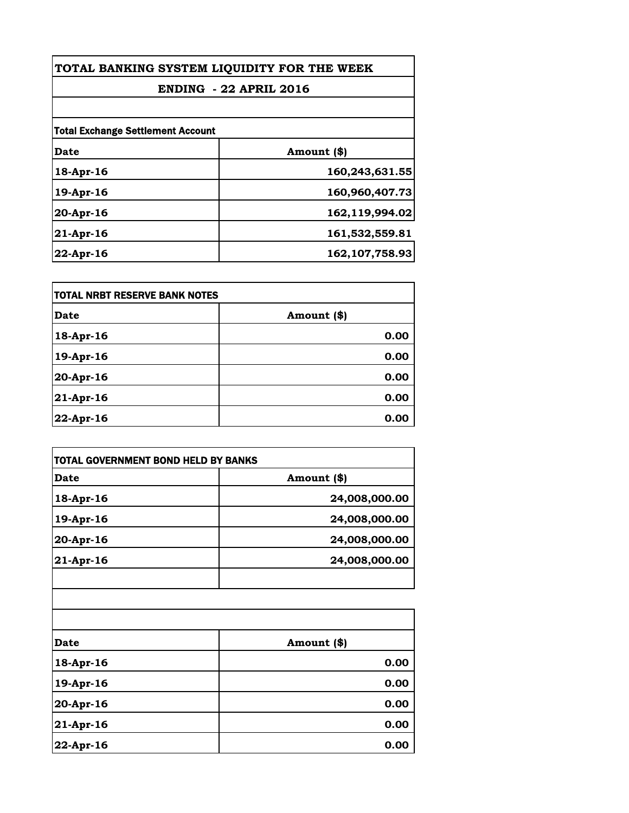| TOTAL BANKING SYSTEM LIQUIDITY FOR THE WEEK<br><b>ENDING - 22 APRIL 2016</b> |                  |
|------------------------------------------------------------------------------|------------------|
|                                                                              |                  |
| <b>Total Exchange Settlement Account</b>                                     |                  |
| Date                                                                         | Amount (\$)      |
| 18-Apr-16                                                                    | 160,243,631.55   |
| 19-Apr-16                                                                    | 160,960,407.73   |
| $20-Apr-16$                                                                  | 162,119,994.02   |
| 21-Apr-16                                                                    | 161,532,559.81   |
| $22$ -Apr-16                                                                 | 162, 107, 758.93 |

| <b>TOTAL NRBT RESERVE BANK NOTES</b> |             |  |
|--------------------------------------|-------------|--|
| <b>Date</b>                          | Amount (\$) |  |
| 18-Apr-16                            | 0.00        |  |
| 19-Apr-16                            | 0.00        |  |
| 20-Apr-16                            | 0.00        |  |
| 21-Apr-16                            | 0.00        |  |
| 22-Apr-16                            | 0.00        |  |

| TOTAL GOVERNMENT BOND HELD BY BANKS |               |
|-------------------------------------|---------------|
| <b>Date</b>                         | Amount (\$)   |
| 18-Apr-16                           | 24,008,000.00 |
| 19-Apr-16                           | 24,008,000.00 |
| 20-Apr-16                           | 24,008,000.00 |
| 21-Apr-16                           | 24,008,000.00 |
| <b>Date</b>                         | Amount (\$)   |
| 18-Apr-16                           | 0.00          |
| 19-Apr-16                           | 0.00          |
| 20-Apr-16                           | 0.00          |
| 21-Apr-16                           | 0.00          |
| 22-Apr-16                           | 0.00          |